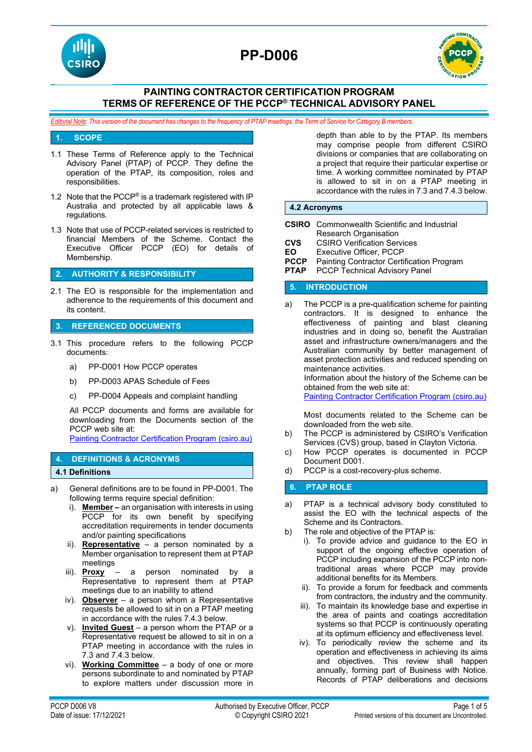

# **PP-D006**



# **PAINTING CONTRACTOR CERTIFICATION PROGRAM TERMS OF REFERENCE OF THE PCCP® TECHNICAL ADVISORY PANEL**

*Editorial Note: This version of the document has changes to the frequency of PTAP meetings, the Term of Service for Category B members.*

#### **1. SCOPE**

- 1.1 These Terms of Reference apply to the Technical Advisory Panel (PTAP) of PCCP. They define the operation of the PTAP, its composition, roles and responsibilities.
- 1.2 Note that the PCCP® is a trademark registered with IP Australia and protected by all applicable laws & regulations.
- 1.3 Note that use of PCCP-related services is restricted to financial Members of the Scheme. Contact the Executive Officer PCCP (EO) for details of Membership.

#### **2. AUTHORITY & RESPONSIBILITY**

2.1 The EO is responsible for the implementation and adherence to the requirements of this document and its content.

#### **3. REFERENCED DOCUMENTS**

- 3.1 This procedure refers to the following PCCP documents:
	- a) PP-D001 How PCCP operates
	- b) PP-D003 APAS Schedule of Fees
	- c) PP-D004 Appeals and complaint handling

All PCCP documents and forms are available for downloading from the Documents section of the PCCP web site at:

[Painting Contractor Certification Program \(csiro.au\)](https://vs.csiro.au/pccp/)

## **4. DEFINITIONS & ACRONYMS**

**4.1 Definitions**

- a) General definitions are to be found in PP-D001. The following terms require special definition:
	- i). **Member –** an organisation with interests in using PCCP for its own benefit by specifying accreditation requirements in tender documents and/or painting specifications
	- ii). **Representative** a person nominated by a Member organisation to represent them at PTAP meetings
	- iii). **Proxy** a person nominated by a Representative to represent them at PTAP meetings due to an inability to attend
	- iv). **Observer** a person whom a Representative requests be allowed to sit in on a PTAP meeting in accordance with the rules 7.4.3 below.
	- v). **Invited Guest** a person whom the PTAP or a Representative request be allowed to sit in on a PTAP meeting in accordance with the rules in 7.3 and 7.4.3 below.
	- vi). **Working Committee** a body of one or more persons subordinate to and nominated by PTAP to explore matters under discussion more in

depth than able to by the PTAP. Its members may comprise people from different CSIRO divisions or companies that are collaborating on a project that require their particular expertise or time. A working committee nominated by PTAP is allowed to sit in on a PTAP meeting in accordance with the rules in 7.3 and 7.4.3 below.

#### **4.2 Acronyms**

|                            | <b>CSIRO</b> Commonwealth Scientific and Industrial |
|----------------------------|-----------------------------------------------------|
|                            | Research Organisation                               |
| CVS                        | <b>CSIRO Verification Services</b>                  |
| EΟ                         | Executive Officer, PCCP                             |
| PCCP                       | Painting Contractor Certification Program           |
| <b>PTAP</b>                | <b>PCCP Technical Advisory Panel</b>                |
| <b>INTRODUCTION</b><br>457 |                                                     |

a) The PCCP is a pre-qualification scheme for painting contractors. It is designed to enhance the effectiveness of painting and blast cleaning industries and in doing so, benefit the Australian asset and infrastructure owners/managers and the Australian community by better management of asset protection activities and reduced spending on maintenance activities.

Information about the history of the Scheme can be obtained from the web site at:

[Painting Contractor Certification Program \(csiro.au\)](https://vs.csiro.au/pccp/)

Most documents related to the Scheme can be downloaded from the web site.

- b) The PCCP is administered by CSIRO's Verification Services (CVS) group, based in Clayton Victoria.
- c) How PCCP operates is documented in PCCP Document D001.
- d) PCCP is a cost-recovery-plus scheme.

#### **6. PTAP ROLE**

- a) PTAP is a technical advisory body constituted to assist the EO with the technical aspects of the Scheme and its Contractors.
- b) The role and objective of the PTAP is:
	- i). To provide advice and guidance to the EO in support of the ongoing effective operation of PCCP including expansion of the PCCP into nontraditional areas where PCCP may provide additional benefits for its Members.
		- ii). To provide a forum for feedback and comments from contractors, the industry and the community.
		- iii). To maintain its knowledge base and expertise in the area of paints and coatings accreditation systems so that PCCP is continuously operating at its optimum efficiency and effectiveness level.
	- iv). To periodically review the scheme and its operation and effectiveness in achieving its aims and objectives. This review shall happen annually, forming part of Business with Notice. Records of PTAP deliberations and decisions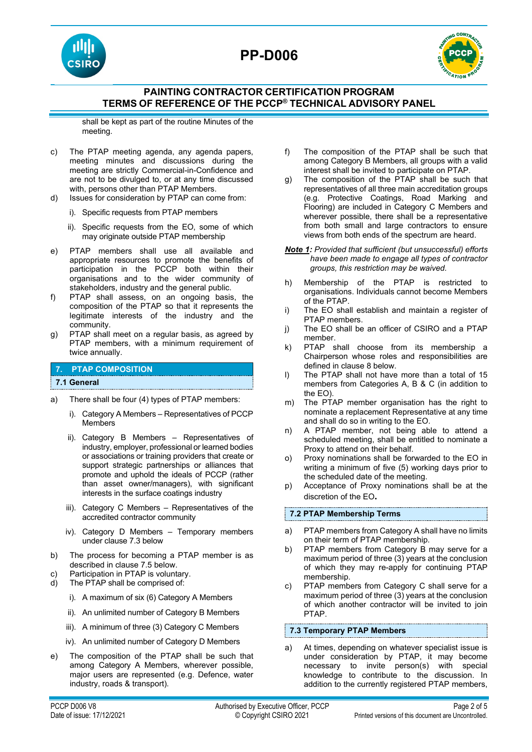





# **PAINTING CONTRACTOR CERTIFICATION PROGRAM TERMS OF REFERENCE OF THE PCCP® TECHNICAL ADVISORY PANEL**

shall be kept as part of the routine Minutes of the meeting.

- c) The PTAP meeting agenda, any agenda papers, meeting minutes and discussions during the meeting are strictly Commercial-in-Confidence and are not to be divulged to, or at any time discussed with, persons other than PTAP Members.
- d) Issues for consideration by PTAP can come from:
	- i). Specific requests from PTAP members
	- ii). Specific requests from the EO, some of which may originate outside PTAP membership
- e) PTAP members shall use all available and appropriate resources to promote the benefits of participation in the PCCP both within their organisations and to the wider community of stakeholders, industry and the general public.
- f) PTAP shall assess, on an ongoing basis, the composition of the PTAP so that it represents the legitimate interests of the industry and the community.
- g) PTAP shall meet on a regular basis, as agreed by PTAP members, with a minimum requirement of twice annually.

# **7. PTAP COMPOSITION**

#### **7.1 General**

- a) There shall be four (4) types of PTAP members:
	- i). Category A Members Representatives of PCCP Members
	- ii). Category B Members Representatives of industry, employer, professional or learned bodies or associations or training providers that create or support strategic partnerships or alliances that promote and uphold the ideals of PCCP (rather than asset owner/managers), with significant interests in the surface coatings industry
	- iii). Category C Members Representatives of the accredited contractor community
	- iv). Category D Members Temporary members under clause 7.3 below
- b) The process for becoming a PTAP member is as described in clause 7.5 below.
- c) Participation in PTAP is voluntary.
- d) The PTAP shall be comprised of:
	- i). A maximum of six (6) Category A Members
	- ii). An unlimited number of Category B Members
	- iii). A minimum of three (3) Category C Members
	- iv). An unlimited number of Category D Members
- e) The composition of the PTAP shall be such that among Category A Members, wherever possible, major users are represented (e.g. Defence, water industry, roads & transport).
- f) The composition of the PTAP shall be such that among Category B Members, all groups with a valid interest shall be invited to participate on PTAP.
- g) The composition of the PTAP shall be such that representatives of all three main accreditation groups (e.g. Protective Coatings, Road Marking and Flooring) are included in Category C Members and wherever possible, there shall be a representative from both small and large contractors to ensure views from both ends of the spectrum are heard.
- *Note 1: Provided that sufficient (but unsuccessful) efforts have been made to engage all types of contractor groups, this restriction may be waived.*
- h) Membership of the PTAP is restricted to organisations. Individuals cannot become Members of the PTAP.
- i) The EO shall establish and maintain a register of PTAP members.
- j) The EO shall be an officer of CSIRO and a PTAP member.
- k) PTAP shall choose from its membership a Chairperson whose roles and responsibilities are defined in clause 8 below.
- l) The PTAP shall not have more than a total of 15 members from Categories A, B & C (in addition to the EO).
- m) The PTAP member organisation has the right to nominate a replacement Representative at any time and shall do so in writing to the EO.
- n) A PTAP member, not being able to attend a scheduled meeting, shall be entitled to nominate a Proxy to attend on their behalf.
- o) Proxy nominations shall be forwarded to the EO in writing a minimum of five (5) working days prior to the scheduled date of the meeting.
- p) Acceptance of Proxy nominations shall be at the discretion of the EO**.**

#### **7.2 PTAP Membership Terms**

- a) PTAP members from Category A shall have no limits on their term of PTAP membership.
- b) PTAP members from Category B may serve for a maximum period of three (3) years at the conclusion of which they may re-apply for continuing PTAP membership.
- c) PTAP members from Category C shall serve for a maximum period of three (3) years at the conclusion of which another contractor will be invited to join PTAP.

#### **7.3 Temporary PTAP Members**

a) At times, depending on whatever specialist issue is under consideration by PTAP, it may become necessary to invite person(s) with special knowledge to contribute to the discussion. In addition to the currently registered PTAP members,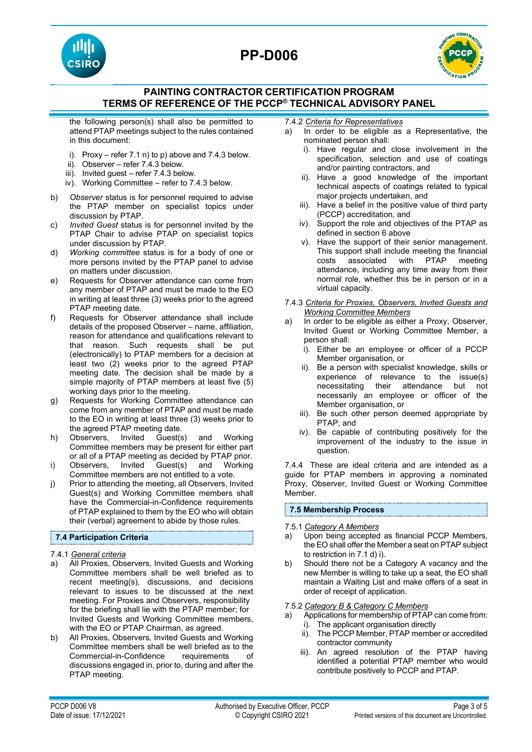# **PP-D006**





# **PAINTING CONTRACTOR CERTIFICATION PROGRAM TERMS OF REFERENCE OF THE PCCP® TECHNICAL ADVISORY PANEL**

the following person(s) shall also be permitted to attend PTAP meetings subject to the rules contained in this document:

- i). Proxy refer  $7.1$  n) to p) above and  $7.4.3$  below.
- ii). Observer refer 7.4.3 below.
- iii). Invited guest refer 7.4.3 below.
- iv). Working Committee refer to 7.4.3 below.
- b) *Observer* status is for personnel required to advise the PTAP member on specialist topics under discussion by PTAP.
- c) *Invited Guest* status is for personnel invited by the PTAP Chair to advise PTAP on specialist topics under discussion by PTAP.
- d) *Working committee* status is for a body of one or more persons invited by the PTAP panel to advise on matters under discussion.
- e) Requests for Observer attendance can come from any member of PTAP and must be made to the EO in writing at least three (3) weeks prior to the agreed PTAP meeting date.
- f) Requests for Observer attendance shall include details of the proposed Observer – name, affiliation, reason for attendance and qualifications relevant to that reason. Such requests shall be put (electronically) to PTAP members for a decision at least two (2) weeks prior to the agreed PTAP meeting date. The decision shall be made by a simple majority of PTAP members at least five (5) working days prior to the meeting.
- g) Requests for Working Committee attendance can come from any member of PTAP and must be made to the EO in writing at least three (3) weeks prior to the agreed PTAP meeting date.
- h) Observers, Invited Guest(s) and Working Committee members may be present for either part or all of a PTAP meeting as decided by PTAP prior.
- i) Observers, Invited Guest(s) and Working Committee members are not entitled to a vote.
- j) Prior to attending the meeting, all Observers, Invited Guest(s) and Working Committee members shall have the Commercial-in-Confidence requirements of PTAP explained to them by the EO who will obtain their (verbal) agreement to abide by those rules.

#### **7.4 Participation Criteria**

- 7.4.1 *General criteria*
- a) All Proxies, Observers, Invited Guests and Working Committee members shall be well briefed as to recent meeting(s), discussions, and decisions relevant to issues to be discussed at the next meeting. For Proxies and Observers, responsibility for the briefing shall lie with the PTAP member; for Invited Guests and Working Committee members, with the EO or PTAP Chairman, as agreed.
- b) All Proxies, Observers, Invited Guests and Working Committee members shall be well briefed as to the Commercial-in-Confidence requirements of discussions engaged in, prior to, during and after the PTAP meeting.

7.4.2 *Criteria for Representatives*

- a) In order to be eligible as a Representative, the nominated person shall:
	- i). Have regular and close involvement in the specification, selection and use of coatings and/or painting contractors, and
	- ii). Have a good knowledge of the important technical aspects of coatings related to typical major projects undertaken, and
	- iii). Have a belief in the positive value of third party (PCCP) accreditation, and
	- iv). Support the role and objectives of the PTAP as defined in section 6 above
	- v). Have the support of their senior management. This support shall include meeting the financial<br>costs associated with PTAP meeting  $\overline{\phantom{a}}$  associated with PTAP meeting attendance, including any time away from their normal role, whether this be in person or in a virtual capacity.
- 7.4.3 *Criteria for Proxies, Observers, Invited Guests and Working Committee Members*
- a) In order to be eligible as either a Proxy, Observer, Invited Guest or Working Committee Member, a person shall:
	- i). Either be an employee or officer of a PCCP Member organisation, or
	- ii). Be a person with specialist knowledge, skills or experience of relevance to the issue(s) necessitating their attendance but not necessarily an employee or officer of the Member organisation, or
	- iii). Be such other person deemed appropriate by PTAP, and
	- iv). Be capable of contributing positively for the improvement of the industry to the issue in question.

7.4.4 These are ideal criteria and are intended as a guide for PTAP members in approving a nominated Proxy, Observer, Invited Guest or Working Committee Member.

#### **7.5 Membership Process**

#### 7.5.1 *Category A Members*

- a) Upon being accepted as financial PCCP Members, the EO shall offer the Member a seat on PTAP subject to restriction in 7.1 d) i).
- b) Should there not be a Category A vacancy and the new Member is willing to take up a seat, the EO shall maintain a Waiting List and make offers of a seat in order of receipt of application.

#### 7.5.2 *Category B & Category C Members*

a) Applications for membership of PTAP can come from: i). The applicant organisation directly

- 
- ii). The PCCP Member, PTAP member or accredited contractor community
- iii). An agreed resolution of the PTAP having identified a potential PTAP member who would contribute positively to PCCP and PTAP.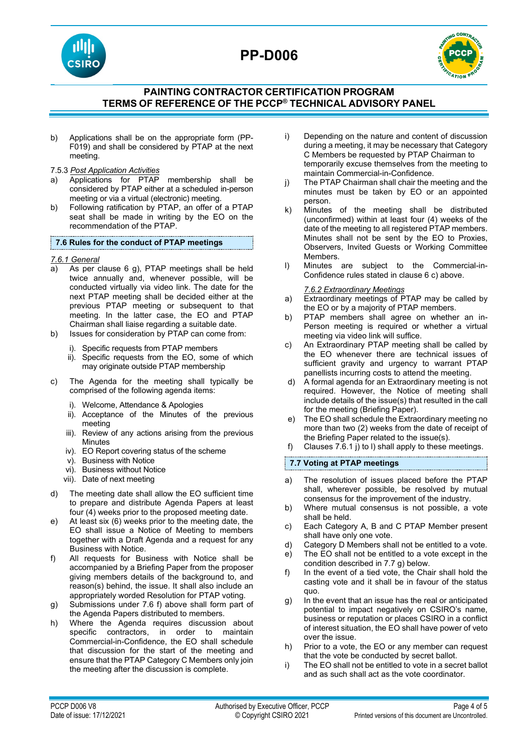





# **PAINTING CONTRACTOR CERTIFICATION PROGRAM TERMS OF REFERENCE OF THE PCCP® TECHNICAL ADVISORY PANEL**

- b) Applications shall be on the appropriate form (PP-F019) and shall be considered by PTAP at the next meeting.
- 7.5.3 *Post Application Activities*
- a) Applications for PTAP membership shall be considered by PTAP either at a scheduled in-person meeting or via a virtual (electronic) meeting.
- b) Following ratification by PTAP, an offer of a PTAP seat shall be made in writing by the EO on the recommendation of the PTAP.

#### **7.6 Rules for the conduct of PTAP meetings**

#### *7.6.1 General*

- a) As per clause 6 g), PTAP meetings shall be held twice annually and, whenever possible, will be conducted virtually via video link. The date for the next PTAP meeting shall be decided either at the previous PTAP meeting or subsequent to that meeting. In the latter case, the EO and PTAP Chairman shall liaise regarding a suitable date.
- b) Issues for consideration by PTAP can come from:
	- i). Specific requests from PTAP members
	- ii). Specific requests from the EO, some of which may originate outside PTAP membership
- c) The Agenda for the meeting shall typically be comprised of the following agenda items:
	- i). Welcome, Attendance & Apologies
	- ii). Acceptance of the Minutes of the previous meeting
	- iii). Review of any actions arising from the previous **Minutes**
	- iv). EO Report covering status of the scheme
	- v). Business with Notice
	- vi). Business without Notice
	- vii). Date of next meeting
- d) The meeting date shall allow the EO sufficient time to prepare and distribute Agenda Papers at least four (4) weeks prior to the proposed meeting date.
- e) At least six (6) weeks prior to the meeting date, the EO shall issue a Notice of Meeting to members together with a Draft Agenda and a request for any Business with Notice.
- f) All requests for Business with Notice shall be accompanied by a Briefing Paper from the proposer giving members details of the background to, and reason(s) behind, the issue. It shall also include an appropriately worded Resolution for PTAP voting.
- g) Submissions under 7.6 f) above shall form part of the Agenda Papers distributed to members.
- h) Where the Agenda requires discussion about specific contractors, in order to maintain Commercial-in-Confidence, the EO shall schedule that discussion for the start of the meeting and ensure that the PTAP Category C Members only join the meeting after the discussion is complete.
- i) Depending on the nature and content of discussion during a meeting, it may be necessary that Category C Members be requested by PTAP Chairman to temporarily excuse themselves from the meeting to maintain Commercial-in-Confidence.
- j) The PTAP Chairman shall chair the meeting and the minutes must be taken by EO or an appointed person.
- k) Minutes of the meeting shall be distributed (unconfirmed) within at least four (4) weeks of the date of the meeting to all registered PTAP members. Minutes shall not be sent by the EO to Proxies, Observers, Invited Guests or Working Committee Members.
- l) Minutes are subject to the Commercial-in-Confidence rules stated in clause 6 c) above.

#### *7.6.2 Extraordinary Meetings*

- a) Extraordinary meetings of PTAP may be called by the EO or by a majority of PTAP members.
- b) PTAP members shall agree on whether an in-Person meeting is required or whether a virtual meeting via video link will suffice.
- c) An Extraordinary PTAP meeting shall be called by the EO whenever there are technical issues of sufficient gravity and urgency to warrant PTAP panellists incurring costs to attend the meeting.
- d) A formal agenda for an Extraordinary meeting is not required. However, the Notice of meeting shall include details of the issue(s) that resulted in the call for the meeting (Briefing Paper).
- e) The EO shall schedule the Extraordinary meeting no more than two (2) weeks from the date of receipt of the Briefing Paper related to the issue(s).
- f) Clauses 7.6.1 j) to l) shall apply to these meetings.

### **7.7 Voting at PTAP meetings**

- a) The resolution of issues placed before the PTAP shall, wherever possible, be resolved by mutual consensus for the improvement of the industry.
- b) Where mutual consensus is not possible, a vote shall be held.
- c) Each Category A, B and C PTAP Member present shall have only one vote.
- d) Category D Members shall not be entitled to a vote.
- e) The EO shall not be entitled to a vote except in the condition described in 7.7 g) below.
- f) In the event of a tied vote, the Chair shall hold the casting vote and it shall be in favour of the status quo.
- g) In the event that an issue has the real or anticipated potential to impact negatively on CSIRO's name, business or reputation or places CSIRO in a conflict of interest situation, the EO shall have power of veto over the issue.
- h) Prior to a vote, the EO or any member can request that the vote be conducted by secret ballot.
- i) The EO shall not be entitled to vote in a secret ballot and as such shall act as the vote coordinator.